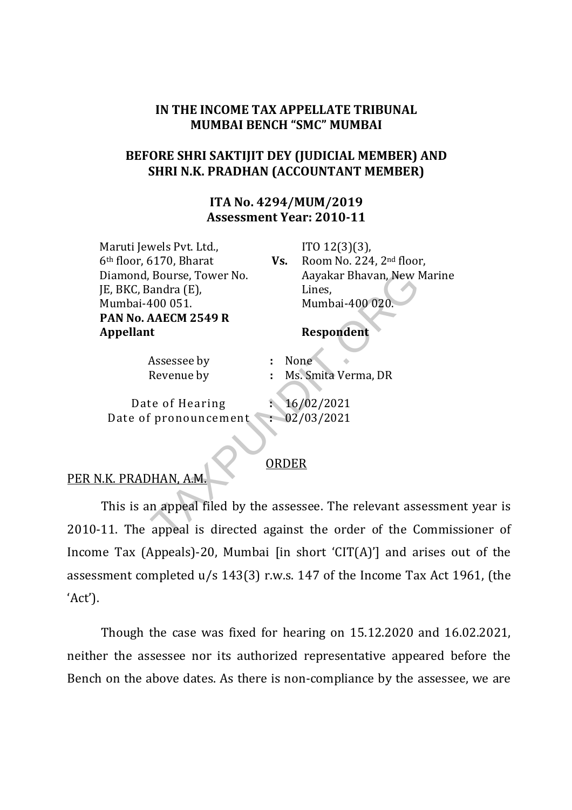### IN THE INCOME TAX APPELLATE TRIBUNAL MUMBAI BENCH "SMC" MUMBAI

## BEFORE SHRI SAKTIJIT DEY (JUDICIAL MEMBER) AND SHRI N.K. PRADHAN (ACCOUNTANT MEMBER)

## ITA No. 4294/MUM/2019 Assessment Year: 2010-11

Maruti Jewels Pvt. Ltd., 6th floor, 6170, Bharat Diamond, Bourse, Tower No. JE, BKC, Bandra (E), Mumbai-400 051. PAN No. AAECM 2549 R Appellant Respondent

Vs. ITO 12(3)(3), Room No. 224, 2nd floor, Aayakar Bhavan, New Marine Lines, Mumbai-400 020.

Assessee by : None

Revenue by : Ms. Smita Verma, DR

Date of Hearing : 16/02/2021 Date of pronouncement : 02/03/2021

#### ORDER

#### PER N.K. PRADHAN, A.M.

This is an appeal filed by the assessee. The relevant assessment year is 2010-11. The appeal is directed against the order of the Commissioner of Income Tax (Appeals)-20, Mumbai [in short 'CIT(A)'] and arises out of the assessment completed u/s 143(3) r.w.s. 147 of the Income Tax Act 1961, (the 'Act'). Rourse, Tower No. Aayakar Bhavan, New I<br>
iandra (E), Lines, Mumbai-400 020.<br> **AAECM 2549 R**<br> **Respondent**<br>
Respondent<br>
Respondent<br>
Respondent<br>
Respondent<br>
Respondent<br>
Respondent<br>
Respondent<br>
Respondent<br>
Respondent<br>
Respond

Though the case was fixed for hearing on 15.12.2020 and 16.02.2021, neither the assessee nor its authorized representative appeared before the Bench on the above dates. As there is non-compliance by the assessee, we are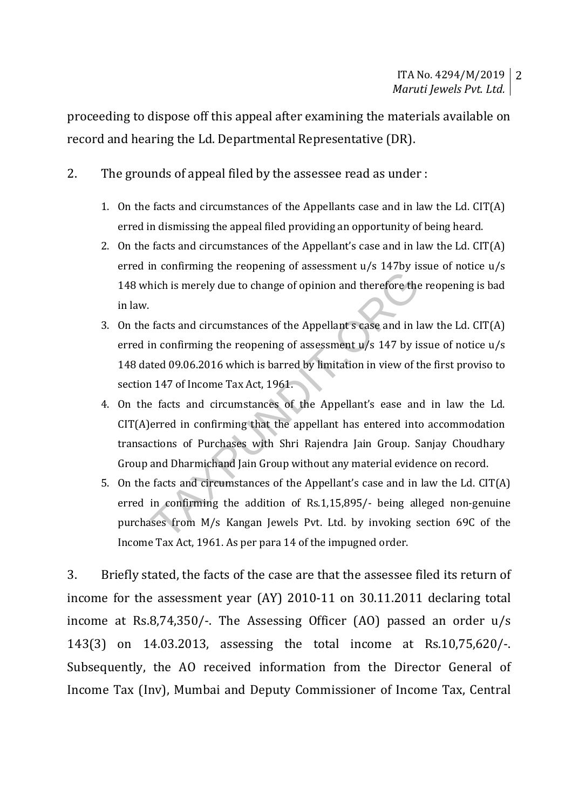proceeding to dispose off this appeal after examining the materials available on record and hearing the Ld. Departmental Representative (DR).

- 2. The grounds of appeal filed by the assessee read as under :
	- 1. On the facts and circumstances of the Appellants case and in law the Ld. CIT(A) erred in dismissing the appeal filed providing an opportunity of being heard.
	- 2. On the facts and circumstances of the Appellant's case and in law the Ld. CIT(A) erred in confirming the reopening of assessment u/s 147by issue of notice u/s 148 which is merely due to change of opinion and therefore the reopening is bad in law.
	- 3. On the facts and circumstances of the Appellant s case and in law the Ld. CIT(A) erred in confirming the reopening of assessment u/s 147 by issue of notice u/s 148 dated 09.06.2016 which is barred by limitation in view of the first proviso to section 147 of Income Tax Act, 1961.
	- 4. On the facts and circumstances of the Appellant's ease and in law the Ld. CIT(A)erred in confirming that the appellant has entered into accommodation transactions of Purchases with Shri Rajendra Jain Group. Sanjay Choudhary Group and Dharmichand Jain Group without any material evidence on record. In comming the responsing or accessibility and therefore the<br>
	facts and circumstances of the Appellant s case and in l.<br>
	in confirming the reopening of assessment u/s 147 by is<br>
	ited 09.06.2016 which is barred by limitatio
	- 5. On the facts and circumstances of the Appellant's case and in law the Ld. CIT(A) erred in confirming the addition of Rs.1,15,895/- being alleged non-genuine purchases from M/s Kangan Jewels Pvt. Ltd. by invoking section 69C of the Income Tax Act, 1961. As per para 14 of the impugned order.

3. Briefly stated, the facts of the case are that the assessee filed its return of income for the assessment year (AY) 2010-11 on 30.11.2011 declaring total income at Rs.8,74,350/-. The Assessing Officer (AO) passed an order u/s 143(3) on 14.03.2013, assessing the total income at Rs.10,75,620/-. Subsequently, the AO received information from the Director General of Income Tax (Inv), Mumbai and Deputy Commissioner of Income Tax, Central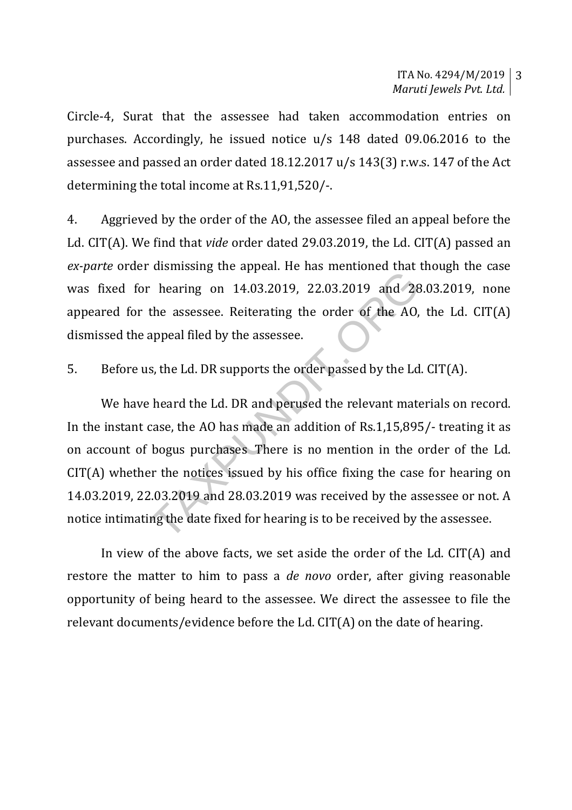Circle-4, Surat that the assessee had taken accommodation entries on purchases. Accordingly, he issued notice u/s 148 dated 09.06.2016 to the assessee and passed an order dated 18.12.2017 u/s 143(3) r.w.s. 147 of the Act determining the total income at Rs.11,91,520/-.

4. Aggrieved by the order of the AO, the assessee filed an appeal before the Ld. CIT(A). We find that vide order dated 29.03.2019, the Ld. CIT(A) passed an ex-parte order dismissing the appeal. He has mentioned that though the case was fixed for hearing on 14.03.2019, 22.03.2019 and 28.03.2019, none appeared for the assessee. Reiterating the order of the AO, the Ld. CIT(A) dismissed the appeal filed by the assessee.

5. Before us, the Ld. DR supports the order passed by the Ld. CIT(A).

 We have heard the Ld. DR and perused the relevant materials on record. In the instant case, the AO has made an addition of Rs.1,15,895/- treating it as on account of bogus purchases There is no mention in the order of the Ld. CIT(A) whether the notices issued by his office fixing the case for hearing on 14.03.2019, 22.03.2019 and 28.03.2019 was received by the assessee or not. A notice intimating the date fixed for hearing is to be received by the assessee. The assessee. Reiterating the order of the AO,<br>appeal filed by the assessee.<br>s, the Ld. DR supports the order passed by the Ld<br>heard the Ld. DR supports the order passed by the Ld<br>heard the Ld. DR and perused the relevant

 In view of the above facts, we set aside the order of the Ld. CIT(A) and restore the matter to him to pass a de novo order, after giving reasonable opportunity of being heard to the assessee. We direct the assessee to file the relevant documents/evidence before the Ld. CIT(A) on the date of hearing.